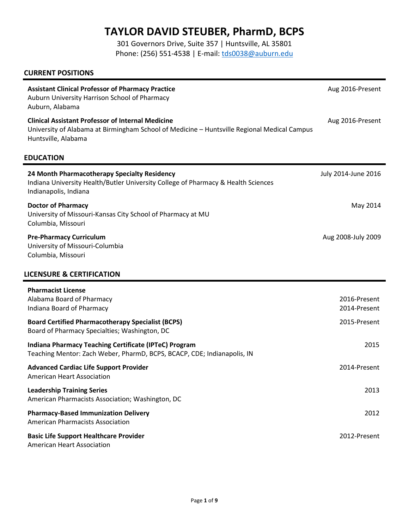# **TAYLOR DAVID STEUBER, PharmD, BCPS**

301 Governors Drive, Suite 357 | Huntsville, AL 35801 Phone: (256) 551-4538 | E-mail: [tds0038@auburn.edu](mailto:tds0038@auburn.edu)

### **CURRENT POSITIONS**

| <b>Assistant Clinical Professor of Pharmacy Practice</b><br>Auburn University Harrison School of Pharmacy<br>Auburn, Alabama                                                   | Aug 2016-Present             |
|--------------------------------------------------------------------------------------------------------------------------------------------------------------------------------|------------------------------|
| <b>Clinical Assistant Professor of Internal Medicine</b><br>University of Alabama at Birmingham School of Medicine - Huntsville Regional Medical Campus<br>Huntsville, Alabama | Aug 2016-Present             |
| <b>EDUCATION</b>                                                                                                                                                               |                              |
| 24 Month Pharmacotherapy Specialty Residency<br>Indiana University Health/Butler University College of Pharmacy & Health Sciences<br>Indianapolis, Indiana                     | July 2014-June 2016          |
| <b>Doctor of Pharmacy</b><br>University of Missouri-Kansas City School of Pharmacy at MU<br>Columbia, Missouri                                                                 | May 2014                     |
| <b>Pre-Pharmacy Curriculum</b><br>University of Missouri-Columbia<br>Columbia, Missouri                                                                                        | Aug 2008-July 2009           |
| <b>LICENSURE &amp; CERTIFICATION</b>                                                                                                                                           |                              |
| <b>Pharmacist License</b><br>Alabama Board of Pharmacy<br>Indiana Board of Pharmacy                                                                                            | 2016-Present<br>2014-Present |
| <b>Board Certified Pharmacotherapy Specialist (BCPS)</b><br>Board of Pharmacy Specialties; Washington, DC                                                                      | 2015-Present                 |
| Indiana Pharmacy Teaching Certificate (IPTeC) Program<br>Teaching Mentor: Zach Weber, PharmD, BCPS, BCACP, CDE; Indianapolis, IN                                               | 2015                         |
| <b>Advanced Cardiac Life Support Provider</b><br><b>American Heart Association</b>                                                                                             | 2014-Present                 |
| <b>Leadership Training Series</b><br>American Pharmacists Association; Washington, DC                                                                                          | 2013                         |
| <b>Pharmacy-Based Immunization Delivery</b><br><b>American Pharmacists Association</b>                                                                                         | 2012                         |
| <b>Basic Life Support Healthcare Provider</b><br>American Heart Association                                                                                                    | 2012-Present                 |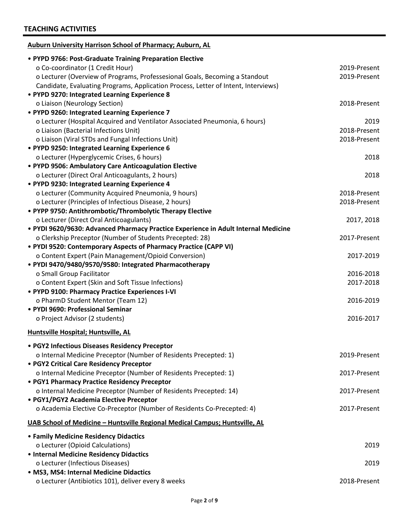| <b>Auburn University Harrison School of Pharmacy; Auburn, AL</b>                   |              |
|------------------------------------------------------------------------------------|--------------|
| • PYPD 9766: Post-Graduate Training Preparation Elective                           |              |
| o Co-coordinator (1 Credit Hour)                                                   | 2019-Present |
| o Lecturer (Overview of Programs, Professesional Goals, Becoming a Standout        | 2019-Present |
| Candidate, Evaluating Programs, Application Process, Letter of Intent, Interviews) |              |
| • PYPD 9270: Integrated Learning Experience 8                                      |              |
| o Liaison (Neurology Section)                                                      | 2018-Present |
| • PYPD 9260: Integrated Learning Experience 7                                      |              |
| o Lecturer (Hospital Acquired and Ventilator Associated Pneumonia, 6 hours)        | 2019         |
| o Liaison (Bacterial Infections Unit)                                              | 2018-Present |
| o Liaison (Viral STDs and Fungal Infections Unit)                                  | 2018-Present |
| • PYPD 9250: Integrated Learning Experience 6                                      |              |
| o Lecturer (Hyperglycemic Crises, 6 hours)                                         | 2018         |
| • PYPD 9506: Ambulatory Care Anticoagulation Elective                              |              |
| o Lecturer (Direct Oral Anticoagulants, 2 hours)                                   | 2018         |
| • PYPD 9230: Integrated Learning Experience 4                                      |              |
| o Lecturer (Community Acquired Pneumonia, 9 hours)                                 | 2018-Present |
| o Lecturer (Principles of Infectious Disease, 2 hours)                             | 2018-Present |
| • PYPP 9750: Antithrombotic/Thrombolytic Therapy Elective                          |              |
| o Lecturer (Direct Oral Anticoagulants)                                            | 2017, 2018   |
| · PYDI 9620/9630: Advanced Pharmacy Practice Experience in Adult Internal Medicine |              |
| o Clerkship Preceptor (Number of Students Precepted: 28)                           | 2017-Present |
| • PYDI 9520: Contemporary Aspects of Pharmacy Practice (CAPP VI)                   |              |
| o Content Expert (Pain Management/Opioid Conversion)                               | 2017-2019    |
| • PYDI 9470/9480/9570/9580: Integrated Pharmacotherapy                             |              |
| o Small Group Facilitator                                                          | 2016-2018    |
| o Content Expert (Skin and Soft Tissue Infections)                                 | 2017-2018    |
| • PYPD 9100: Pharmacy Practice Experiences I-VI                                    |              |
| o PharmD Student Mentor (Team 12)                                                  | 2016-2019    |
| • PYDI 9690: Professional Seminar                                                  |              |
| o Project Advisor (2 students)                                                     | 2016-2017    |
| <b>Huntsville Hospital; Huntsville, AL</b>                                         |              |
|                                                                                    |              |
| • PGY2 Infectious Diseases Residency Preceptor                                     |              |
| o Internal Medicine Preceptor (Number of Residents Precepted: 1)                   | 2019-Present |
| • PGY2 Critical Care Residency Preceptor                                           |              |
| o Internal Medicine Preceptor (Number of Residents Precepted: 1)                   | 2017-Present |
| • PGY1 Pharmacy Practice Residency Preceptor                                       |              |
| o Internal Medicine Preceptor (Number of Residents Precepted: 14)                  | 2017-Present |
| • PGY1/PGY2 Academia Elective Preceptor                                            |              |
| o Academia Elective Co-Preceptor (Number of Residents Co-Precepted: 4)             | 2017-Present |
| UAB School of Medicine - Huntsville Regional Medical Campus; Huntsville, AL        |              |
| • Family Medicine Residency Didactics                                              |              |
| o Lecturer (Opioid Calculations)                                                   | 2019         |
| • Internal Medicine Residency Didactics                                            |              |
| o Lecturer (Infectious Diseases)                                                   | 2019         |
| · MS3, MS4: Internal Medicine Didactics                                            |              |
| o Lecturer (Antibiotics 101), deliver every 8 weeks                                | 2018-Present |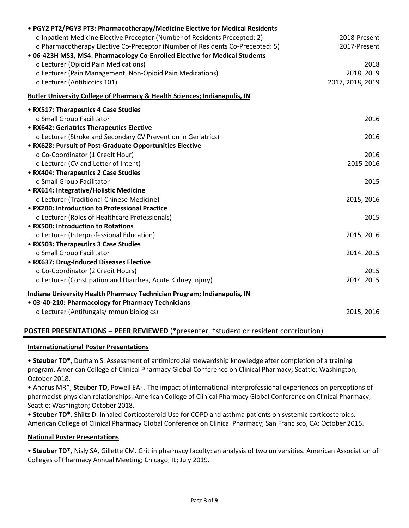| • PGY2 PT2/PGY3 PT3: Pharmacotherapy/Medicine Elective for Medical Residents         |                  |
|--------------------------------------------------------------------------------------|------------------|
| o Inpatient Medicine Elective Preceptor (Number of Residents Precepted: 2)           | 2018-Present     |
| o Pharmacotherapy Elective Co-Preceptor (Number of Residents Co-Precepted: 5)        | 2017-Present     |
| • 06-423H MS3, MS4: Pharmacology Co-Enrolled Elective for Medical Students           |                  |
| o Lecturer (Opioid Pain Medications)                                                 | 2018             |
| o Lecturer (Pain Management, Non-Opioid Pain Medications)                            | 2018, 2019       |
| o Lecturer (Antibiotics 101)                                                         | 2017, 2018, 2019 |
| <b>Butler University College of Pharmacy &amp; Health Sciences; Indianapolis, IN</b> |                  |
| • RX517: Therapeutics 4 Case Studies                                                 |                  |
| o Small Group Facilitator                                                            | 2016             |
| • RX642: Geriatrics Therapeutics Elective                                            |                  |
| o Lecturer (Stroke and Secondary CV Prevention in Geriatrics)                        | 2016             |
| • RX628: Pursuit of Post-Graduate Opportunities Elective                             |                  |
| o Co-Coordinator (1 Credit Hour)                                                     | 2016             |
| o Lecturer (CV and Letter of Intent)                                                 | 2015-2016        |
| • RX404: Therapeutics 2 Case Studies                                                 |                  |
| o Small Group Facilitator                                                            | 2015             |
| • RX614: Integrative/Holistic Medicine                                               |                  |
| o Lecturer (Traditional Chinese Medicine)                                            | 2015, 2016       |
| • PX200: Introduction to Professional Practice                                       |                  |
| o Lecturer (Roles of Healthcare Professionals)                                       | 2015             |
| • RX500: Introduction to Rotations                                                   |                  |
| o Lecturer (Interprofessional Education)                                             | 2015, 2016       |
| • RX503: Therapeutics 3 Case Studies                                                 |                  |
| o Small Group Facilitator                                                            | 2014, 2015       |
| • RX637: Drug-Induced Diseases Elective                                              |                  |
| o Co-Coordinator (2 Credit Hours)                                                    | 2015             |
| o Lecturer (Constipation and Diarrhea, Acute Kidney Injury)                          | 2014, 2015       |
| <b>Indiana University Health Pharmacy Technician Program; Indianapolis, IN</b>       |                  |
| • 03-40-210: Pharmacology for Pharmacy Technicians                                   |                  |
| o Lecturer (Antifungals/Immunibiologics)                                             | 2015, 2016       |
|                                                                                      |                  |

## **POSTER PRESENTATIONS – PEER REVIEWED** (\*presenter, †student or resident contribution)

#### **Internationational Poster Presentations**

• **Steuber TD\***, Durham S. Assessment of antimicrobial stewardship knowledge after completion of a training program. American College of Clinical Pharmacy Global Conference on Clinical Pharmacy; Seattle; Washington; October 2018.

• Andrus MR\*, **Steuber TD**, Powell EA†. The impact of international interprofessional experiences on perceptions of pharmacist-physician relationships. American College of Clinical Pharmacy Global Conference on Clinical Pharmacy; Seattle; Washington; October 2018.

• **Steuber TD\***, Shiltz D. Inhaled Corticosteroid Use for COPD and asthma patients on systemic corticosteroids. American College of Clinical Pharmacy Global Conference on Clinical Pharmacy; San Francisco, CA; October 2015.

#### **National Poster Presentations**

• **Steuber TD\***, Nisly SA, Gillette CM. Grit in pharmacy faculty: an analysis of two universities. American Association of Colleges of Pharmacy Annual Meeting; Chicago, IL; July 2019.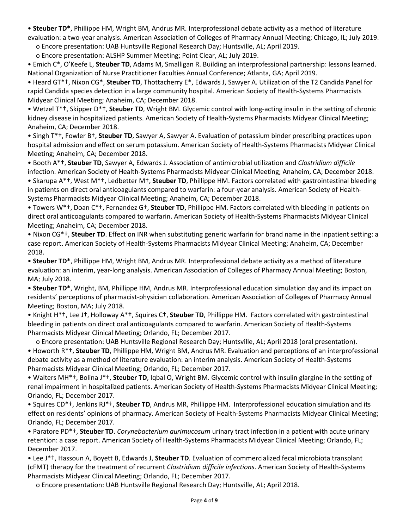• **Steuber TD\***, Phillippe HM, Wright BM, Andrus MR. Interprofessional debate activity as a method of literature evaluation: a two-year analysis. American Association of Colleges of Pharmacy Annual Meeting; Chicago, IL; July 2019.

о Encore presentation: UAB Huntsville Regional Research Day; Huntsville, AL; April 2019.

о Encore presentation: ALSHP Summer Meeting; Point Clear, AL; July 2019.

• Emich C\*, O'Keefe L, **Steuber TD**, Adams M, Smalligan R. Building an interprofessional partnership: lessons learned. National Organization of Nurse Practitioner Faculties Annual Conference; Atlanta, GA; April 2019.

• Heard GT\*†, Nixon CG\*, **Steuber TD**, Thottacherry E\*, Edwards J, Sawyer A. Utilization of the T2 Candida Panel for rapid Candida species detection in a large community hospital. American Society of Health-Systems Pharmacists Midyear Clinical Meeting; Anaheim, CA; December 2018.

• Wetzel T\*†, Skipper D\*†, **Steuber TD**, Wright BM. Glycemic control with long-acting insulin in the setting of chronic kidney disease in hospitalized patients. American Society of Health-Systems Pharmacists Midyear Clinical Meeting; Anaheim, CA; December 2018.

• Singh T\*†, Fowler B†, **Steuber TD**, Sawyer A, Sawyer A. Evaluation of potassium binder prescribing practices upon hospital admission and effect on serum potassium. American Society of Health-Systems Pharmacists Midyear Clinical Meeting; Anaheim, CA; December 2018.

• Booth A\*†, **Steuber TD**, Sawyer A, Edwards J. Association of antimicrobial utilization and *Clostridium difficile* infection. American Society of Health-Systems Pharmacists Midyear Clinical Meeting; Anaheim, CA; December 2018.

• Skarupa A\*†, West M\*†, Ledbetter M†, **Steuber TD**, Phillippe HM. Factors correlated with gastrointestinal bleeding in patients on direct oral anticoagulants compared to warfarin: a four-year analysis. American Society of Health-Systems Pharmacists Midyear Clinical Meeting; Anaheim, CA; December 2018.

• Towers W\*†, Doan C\*†, Fernandez G†, **Steuber TD**, Phillippe HM. Factors correlated with bleeding in patients on direct oral anticoagulants compared to warfarin. American Society of Health-Systems Pharmacists Midyear Clinical Meeting; Anaheim, CA; December 2018.

• Nixon CG\*†, **Steuber TD**. Effect on INR when substituting generic warfarin for brand name in the inpatient setting: a case report. American Society of Health-Systems Pharmacists Midyear Clinical Meeting; Anaheim, CA; December 2018.

• **Steuber TD\***, Phillippe HM, Wright BM, Andrus MR. Interprofessional debate activity as a method of literature evaluation: an interim, year-long analysis. American Association of Colleges of Pharmacy Annual Meeting; Boston, MA; July 2018.

• **Steuber TD\***, Wright, BM, Phillippe HM, Andrus MR. Interprofessional education simulation day and its impact on residents' perceptions of pharmacist-physician collaboration. American Association of Colleges of Pharmacy Annual Meeting; Boston, MA; July 2018.

• Knight H\*†, Lee J†, Holloway A\*†, Squires C†, **Steuber TD**, Phillippe HM. Factors correlated with gastrointestinal bleeding in patients on direct oral anticoagulants compared to warfarin. American Society of Health-Systems Pharmacists Midyear Clinical Meeting; Orlando, FL; December 2017.

 о Encore presentation: UAB Huntsville Regional Research Day; Huntsville, AL; April 2018 (oral presentation). • Howorth R\*†, **Steuber TD**, Phillippe HM, Wright BM, Andrus MR. Evaluation and perceptions of an interprofessional debate activity as a method of literature evaluation: an interim analysis. American Society of Health-Systems Pharmacists Midyear Clinical Meeting; Orlando, FL; December 2017.

• Walters MH\*†, Bolina J\*†, **Steuber TD**, Iqbal O, Wright BM. Glycemic control with insulin glargine in the setting of renal impairment in hospitalized patients. American Society of Health-Systems Pharmacists Midyear Clinical Meeting; Orlando, FL; December 2017.

• Squires CD\*†, Jenkins RJ\*†, **Steuber TD**, Andrus MR, Phillippe HM. Interprofessional education simulation and its effect on residents' opinions of pharmacy. American Society of Health-Systems Pharmacists Midyear Clinical Meeting; Orlando, FL; December 2017.

• Paratore PD\*†, **Steuber TD**. *Corynebacterium aurimucosum* urinary tract infection in a patient with acute urinary retention: a case report. American Society of Health-Systems Pharmacists Midyear Clinical Meeting; Orlando, FL; December 2017.

• Lee J\*†, Hassoun A, Boyett B, Edwards J, **Steuber TD**. Evaluation of commercialized fecal microbiota transplant (cFMT) therapy for the treatment of recurrent *Clostridium difficile infections*. American Society of Health-Systems Pharmacists Midyear Clinical Meeting; Orlando, FL; December 2017.

о Encore presentation: UAB Huntsville Regional Research Day; Huntsville, AL; April 2018.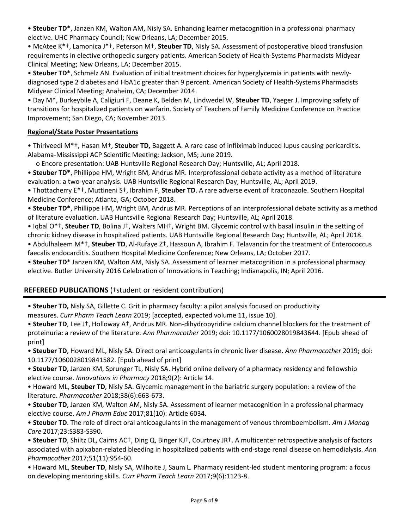• **Steuber TD**\*, Janzen KM, Walton AM, Nisly SA. Enhancing learner metacognition in a professional pharmacy elective. UHC Pharmacy Council; New Orleans, LA; December 2015.

• McAtee K\*†, Lamonica J\*†, Peterson M†, **Steuber TD**, Nisly SA. Assessment of postoperative blood transfusion requirements in elective orthopedic surgery patients. American Society of Health-Systems Pharmacists Midyear Clinical Meeting; New Orleans, LA; December 2015.

• **Steuber TD\***, Schmelz AN. Evaluation of initial treatment choices for hyperglycemia in patients with newlydiagnosed type 2 diabetes and HbA1c greater than 9 percent. American Society of Health-Systems Pharmacists Midyear Clinical Meeting; Anaheim, CA; December 2014.

• Day M\*, Burkeybile A, Caligiuri F, Deane K, Belden M, Lindwedel W, **Steuber TD**, Yaeger J. Improving safety of transitions for hospitalized patients on warfarin. Society of Teachers of Family Medicine Conference on Practice Improvement; San Diego, CA; November 2013.

## **Regional/State Poster Presentations**

• Thiriveedi M\*†, Hasan M†, **Steuber TD,** Baggett A. A rare case of infliximab induced lupus causing pericarditis. Alabama-Mississippi ACP Scientific Meeting; Jackson, MS; June 2019.

о Encore presentation: UAB Huntsville Regional Research Day; Huntsville, AL; April 2018.

• **Steuber TD\***, Phillippe HM, Wright BM, Andrus MR. Interprofessional debate activity as a method of literature evaluation: a two-year analysis. UAB Huntsville Regional Research Day; Huntsville, AL; April 2019.

• Thottacherry E\*†, Muttineni S†, Ibrahim F, **Steuber TD**. A rare adverse event of itraconazole. Southern Hospital Medicine Conference; Atlanta, GA; October 2018.

• **Steuber TD\***, Phillippe HM, Wright BM, Andrus MR. Perceptions of an interprofessional debate activity as a method of literature evaluation. UAB Huntsville Regional Research Day; Huntsville, AL; April 2018.

• Iqbal O\*†, **Steuber TD**, Bolina J†, Walters MH†, Wright BM. Glycemic control with basal insulin in the setting of chronic kidney disease in hospitalized patients. UAB Huntsville Regional Research Day; Huntsville, AL; April 2018.

• Abdulhaleem M\*†, **Steuber TD**, Al-Rufaye Z†, Hassoun A, Ibrahim F. Telavancin for the treatment of Enterococcus faecalis endocarditis. Southern Hospital Medicine Conference; New Orleans, LA; October 2017.

• **Steuber TD**\* Janzen KM, Walton AM, Nisly SA. Assessment of learner metacognition in a professional pharmacy elective. Butler University 2016 Celebration of Innovations in Teaching; Indianapolis, IN; April 2016.

## **REFEREED PUBLICATIONS** (†student or resident contribution)

• **Steuber TD,** Nisly SA, Gillette C. Grit in pharmacy faculty: a pilot analysis focused on productivity measures. *Curr Pharm Teach Learn* 2019; [accepted, expected volume 11, issue 10].

• **Steuber TD**, Lee J†, Holloway A†, Andrus MR. Non-dihydropyridine calcium channel blockers for the treatment of proteinuria: a review of the literature. *Ann Pharmacother* 2019; doi: 10.1177/1060028019843644. [Epub ahead of print]

• **Steuber TD**, Howard ML, Nisly SA. Direct oral anticoagulants in chronic liver disease. *Ann Pharmacother* 2019; doi: 10.1177/1060028019841582. [Epub ahead of print]

• **Steuber TD**, Janzen KM, Sprunger TL, Nisly SA. Hybrid online delivery of a pharmacy residency and fellowship elective course. *Innovations in Pharmacy* 2018;9(2): Article 14.

• Howard ML, **Steuber TD**, Nisly SA. Glycemic management in the bariatric surgery population: a review of the literature. *Pharmacother* 2018;38(6):663-673.

• **Steuber TD**, Janzen KM, Walton AM, Nisly SA. Assessment of learner metacognition in a professional pharmacy elective course. *Am J Pharm Educ* 2017;81(10): Article 6034.

• **Steuber TD**. The role of direct oral anticoagulants in the management of venous thromboembolism. *Am J Manag Care* 2017;23:S383-S390.

• **Steuber TD**, Shiltz DL, Cairns AC†, Ding Q, Binger KJ†, Courtney JR†. A multicenter retrospective analysis of factors associated with apixaban-related bleeding in hospitalized patients with end-stage renal disease on hemodialysis. *Ann Pharmacother* 2017;51(11):954-60.

• Howard ML, **Steuber TD**, Nisly SA, Wilhoite J, Saum L. Pharmacy resident-led student mentoring program: a focus on developing mentoring skills. *Curr Pharm Teach Learn* 2017;9(6):1123-8.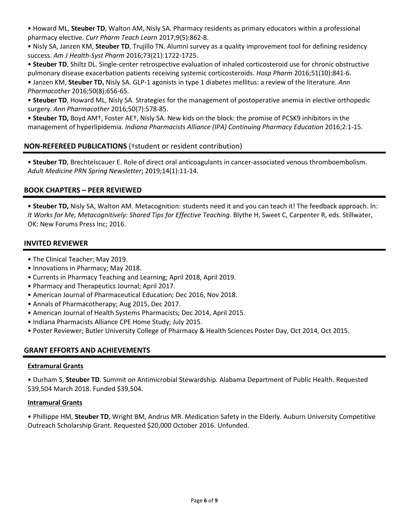• Howard ML, **Steuber TD**, Walton AM, Nisly SA. Pharmacy residents as primary educators within a professional pharmacy elective. *Curr Pharm Teach Learn* 2017;9(5):862-8.

• Nisly SA, Janzen KM, **Steuber TD**, Trujillo TN. Alumni survey as a quality improvement tool for defining residency success. *Am J Health-Syst Pharm* 2016;73(21):1722-1725.

• **Steuber TD**, Shiltz DL. Single-center retrospective evaluation of inhaled corticosteroid use for chronic obstructive pulmonary disease exacerbation patients receiving systemic corticosteroids. *Hosp Pharm* 2016;51(10):841-6.

• Janzen KM, **Steuber TD,** Nisly SA. GLP-1 agonists in type 1 diabetes mellitus: a review of the literature. *Ann Pharmacother* 2016;50(8):656-65.

• **Steuber TD**, Howard ML, Nisly SA. Strategies for the management of postoperative anemia in elective orthopedic surgery. *Ann Pharmacother* 2016;50(7):578-85.

• **Steuber TD,** Boyd AM†, Foster AE†, Nisly SA. New kids on the block: the promise of PCSK9 inhibitors in the management of hyperlipidemia. *Indiana Pharmacists Alliance (IPA) Continuing Pharmacy Education* 2016;2:1-15.

## **NON-REFEREED PUBLICATIONS** (†student or resident contribution)

• **Steuber TD**, Brechtelscauer E. Role of direct oral anticoagulants in cancer-associated venous thromboembolism. *Adult Medicine PRN Spring Newsletter*; 2019;14(1):11-14.

## **BOOK CHAPTERS – PEER REVIEWED**

• **Steuber TD,** Nisly SA, Walton AM. Metacognition: students need it and you can teach it! The feedback approach. In: *It Works for Me, Metacognitively: Shared Tips for Effective Teaching*. Blythe H, Sweet C, Carpenter R, eds. Stillwater, OK: New Forums Press Inc; 2016.

## **INVITED REVIEWER**

- The Clinical Teacher; May 2019.
- Innovations in Pharmacy; May 2018.
- Currents in Pharmacy Teaching and Learning; April 2018, April 2019.
- Pharmacy and Therapeutics Journal; April 2017.
- American Journal of Pharmaceutical Education; Dec 2016, Nov 2018.
- Annals of Pharmacotherapy; Aug 2015, Dec 2017.
- American Journal of Health Systems Pharmacists; Dec 2014, April 2015.
- Indiana Pharmacists Alliance CPE Home Study; July 2015.
- Poster Reviewer; Butler University College of Pharmacy & Health Sciences Poster Day, Oct 2014, Oct 2015.

## **GRANT EFFORTS AND ACHIEVEMENTS**

#### **Extramural Grants**

• Durham S, **Steuber TD**. Summit on Antimicrobial Stewardship. Alabama Department of Public Health. Requested \$39,504 March 2018. Funded \$39,504.

#### **Intramural Grants**

• Phillippe HM, **Steuber TD**, Wright BM, Andrus MR. Medication Safety in the Elderly. Auburn University Competitive Outreach Scholarship Grant. Requested \$20,000 October 2016. Unfunded.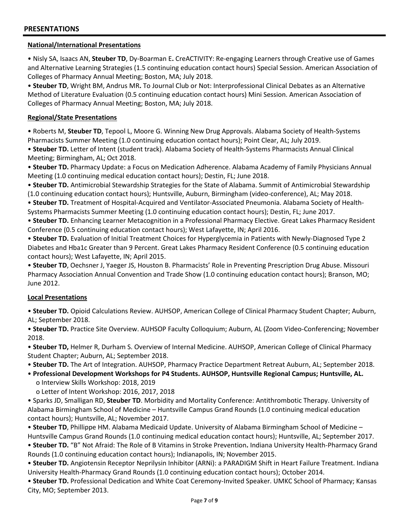### **National/International Presentations**

• Nisly SA, Isaacs AN, **Steuber TD**, Dy-Boarman E**.** CreACTIVITY: Re-engaging Learners through Creative use of Games and Alternative Learning Strategies (1.5 continuing education contact hours) Special Session. American Association of Colleges of Pharmacy Annual Meeting; Boston, MA; July 2018.

• **Steuber TD**, Wright BM, Andrus MR**.** To Journal Club or Not: Interprofessional Clinical Debates as an Alternative Method of Literature Evaluation (0.5 continuing education contact hours) Mini Session. American Association of Colleges of Pharmacy Annual Meeting; Boston, MA; July 2018.

### **Regional/State Presentations**

• Roberts M, **Steuber TD**, Tepool L, Moore G. Winning New Drug Approvals. Alabama Society of Health-Systems Pharmacists Summer Meeting (1.0 continuing education contact hours); Point Clear, AL; July 2019.

• **Steuber TD.** Letter of Intent (student track). Alabama Society of Health-Systems Pharmacists Annual Clinical Meeting; Birmingham, AL; Oct 2018.

• **Steuber TD.** Pharmacy Update: a Focus on Medication Adherence. Alabama Academy of Family Physicians Annual Meeting (1.0 continuing medical education contact hours); Destin, FL; June 2018.

• **Steuber TD.** Antimicrobial Stewardship Strategies for the State of Alabama. Summit of Antimicrobial Stewardship (1.0 continuing education contact hours); Huntsville, Auburn, Birmingham (video-conference), AL; May 2018.

• **Steuber TD.** Treatment of Hospital-Acquired and Ventilator-Associated Pneumonia. Alabama Society of Health-Systems Pharmacists Summer Meeting (1.0 continuing education contact hours); Destin, FL; June 2017.

• **Steuber TD.** Enhancing Learner Metacognition in a Professional Pharmacy Elective. Great Lakes Pharmacy Resident Conference (0.5 continuing education contact hours); West Lafayette, IN; April 2016.

• **Steuber TD.** Evaluation of Initial Treatment Choices for Hyperglycemia in Patients with Newly-Diagnosed Type 2 Diabetes and Hba1c Greater than 9 Percent. Great Lakes Pharmacy Resident Conference (0.5 continuing education contact hours); West Lafayette, IN; April 2015.

• **Steuber TD**, Oechsner J, Yaeger JS, Houston B. Pharmacists' Role in Preventing Prescription Drug Abuse. Missouri Pharmacy Association Annual Convention and Trade Show (1.0 continuing education contact hours); Branson, MO; June 2012.

#### **Local Presentations**

• **Steuber TD.** Opioid Calculations Review. AUHSOP, American College of Clinical Pharmacy Student Chapter; Auburn, AL; September 2018.

• **Steuber TD.** Practice Site Overview. AUHSOP Faculty Colloquium; Auburn, AL (Zoom Video-Conferencing; November 2018.

• **Steuber TD,** Helmer R, Durham S. Overview of Internal Medicine. AUHSOP, American College of Clinical Pharmacy Student Chapter; Auburn, AL; September 2018.

• **Steuber TD.** The Art of Integration. AUHSOP, Pharmacy Practice Department Retreat Auburn, AL; September 2018.

• **Professional Development Workshops for P4 Students. AUHSOP, Huntsville Regional Campus; Huntsville, AL.** о Interview Skills Workshop: 2018, 2019

о Letter of Intent Workshop: 2016, 2017, 2018

• Sparks JD, Smalligan RD, **Steuber TD**. Morbidity and Mortality Conference: Antithrombotic Therapy. University of Alabama Birmingham School of Medicine – Huntsville Campus Grand Rounds (1.0 continuing medical education contact hours); Huntsville, AL; November 2017.

• **Steuber TD**, Phillippe HM. Alabama Medicaid Update. University of Alabama Birmingham School of Medicine – Huntsville Campus Grand Rounds (1.0 continuing medical education contact hours); Huntsville, AL; September 2017.

• **Steuber TD.** "B" Not Afraid: The Role of B Vitamins in Stroke Prevention**.** Indiana University Health-Pharmacy Grand Rounds (1.0 continuing education contact hours); Indianapolis, IN; November 2015.

• **Steuber TD.** Angiotensin Receptor Neprilysin Inhibitor (ARNi): a PARADIGM Shift in Heart Failure Treatment. Indiana University Health-Pharmacy Grand Rounds (1.0 continuing education contact hours); October 2014.

• **Steuber TD.** Professional Dedication and White Coat Ceremony-Invited Speaker. UMKC School of Pharmacy; Kansas City, MO; September 2013.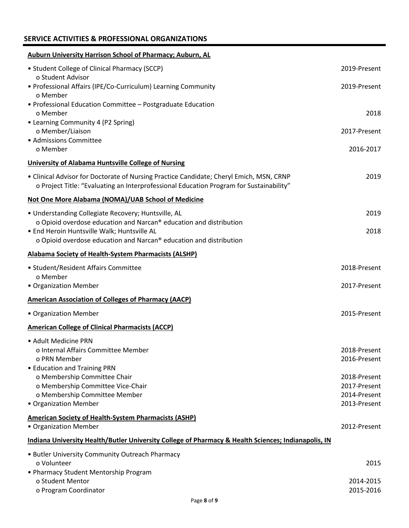## **SERVICE ACTIVITIES & PROFESSIONAL ORGANIZATIONS**

| <b>Auburn University Harrison School of Pharmacy; Auburn, AL</b>                                                                                                                   |                              |
|------------------------------------------------------------------------------------------------------------------------------------------------------------------------------------|------------------------------|
| • Student College of Clinical Pharmacy (SCCP)<br>o Student Advisor                                                                                                                 | 2019-Present                 |
| • Professional Affairs (IPE/Co-Curriculum) Learning Community<br>o Member                                                                                                          | 2019-Present                 |
| • Professional Education Committee - Postgraduate Education<br>o Member                                                                                                            | 2018                         |
| • Learning Community 4 (P2 Spring)<br>o Member/Liaison<br>• Admissions Committee                                                                                                   | 2017-Present                 |
| o Member                                                                                                                                                                           | 2016-2017                    |
| University of Alabama Huntsville College of Nursing                                                                                                                                |                              |
| • Clinical Advisor for Doctorate of Nursing Practice Candidate; Cheryl Emich, MSN, CRNP<br>o Project Title: "Evaluating an Interprofessional Education Program for Sustainability" | 2019                         |
| Not One More Alabama (NOMA)/UAB School of Medicine                                                                                                                                 |                              |
| · Understanding Collegiate Recovery; Huntsville, AL<br>o Opioid overdose education and Narcan® education and distribution                                                          | 2019                         |
| · End Heroin Huntsville Walk; Huntsville AL<br>o Opioid overdose education and Narcan® education and distribution                                                                  | 2018                         |
| <b>Alabama Society of Health-System Pharmacists (ALSHP)</b>                                                                                                                        |                              |
| • Student/Resident Affairs Committee<br>o Member                                                                                                                                   | 2018-Present                 |
| • Organization Member                                                                                                                                                              | 2017-Present                 |
| <b>American Association of Colleges of Pharmacy (AACP)</b>                                                                                                                         |                              |
| • Organization Member                                                                                                                                                              | 2015-Present                 |
| <b>American College of Clinical Pharmacists (ACCP)</b>                                                                                                                             |                              |
| • Adult Medicine PRN                                                                                                                                                               |                              |
| o Internal Affairs Committee Member<br>o PRN Member                                                                                                                                | 2018-Present<br>2016-Present |
| • Education and Training PRN                                                                                                                                                       |                              |
| o Membership Committee Chair                                                                                                                                                       | 2018-Present                 |
| o Membership Committee Vice-Chair                                                                                                                                                  | 2017-Present                 |
| o Membership Committee Member<br>• Organization Member                                                                                                                             | 2014-Present<br>2013-Present |
| <b>American Society of Health-System Pharmacists (ASHP)</b>                                                                                                                        |                              |
| • Organization Member                                                                                                                                                              | 2012-Present                 |
| Indiana University Health/Butler University College of Pharmacy & Health Sciences; Indianapolis, IN                                                                                |                              |
| • Butler University Community Outreach Pharmacy                                                                                                                                    |                              |
| o Volunteer<br>• Pharmacy Student Mentorship Program                                                                                                                               | 2015                         |
| o Student Mentor                                                                                                                                                                   | 2014-2015                    |
| o Program Coordinator                                                                                                                                                              | 2015-2016                    |